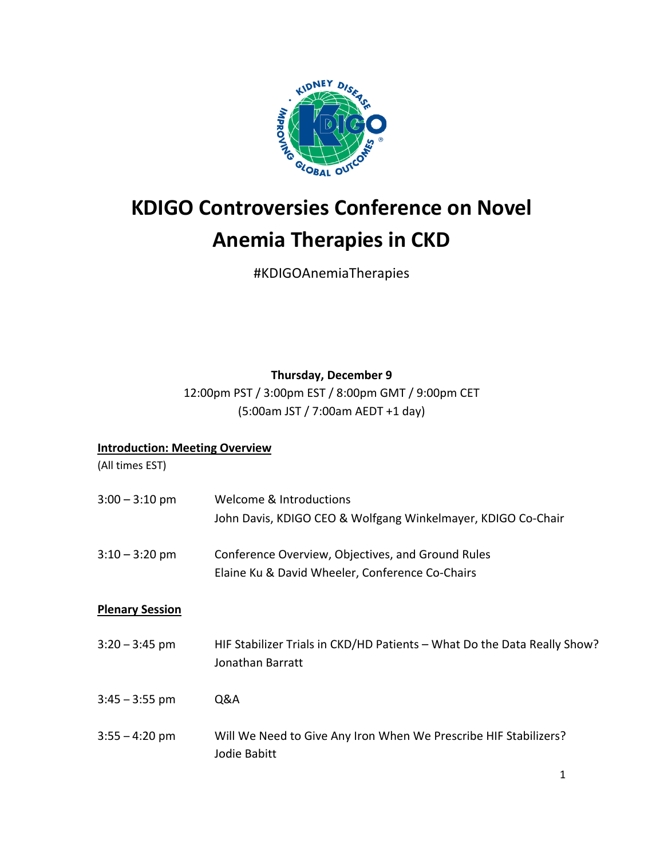

# **KDIGO Controversies Conference on Novel Anemia Therapies in CKD**

#KDIGOAnemiaTherapies

## **Thursday, December 9**

12:00pm PST / 3:00pm EST / 8:00pm GMT / 9:00pm CET (5:00am JST / 7:00am AEDT +1 day)

### **Introduction: Meeting Overview**

(All times EST)

| $3:00 - 3:10$ pm       | Welcome & Introductions<br>John Davis, KDIGO CEO & Wolfgang Winkelmayer, KDIGO Co-Chair              |
|------------------------|------------------------------------------------------------------------------------------------------|
| $3:10 - 3:20$ pm       | Conference Overview, Objectives, and Ground Rules<br>Elaine Ku & David Wheeler, Conference Co-Chairs |
| <b>Plenary Session</b> |                                                                                                      |
| $3:20 - 3:45$ pm       | HIF Stabilizer Trials in CKD/HD Patients - What Do the Data Really Show?<br>Jonathan Barratt         |
| $3:45 - 3:55$ pm       | Q&A                                                                                                  |
| $3:55 - 4:20$ pm       | Will We Need to Give Any Iron When We Prescribe HIF Stabilizers?<br>Jodie Babitt                     |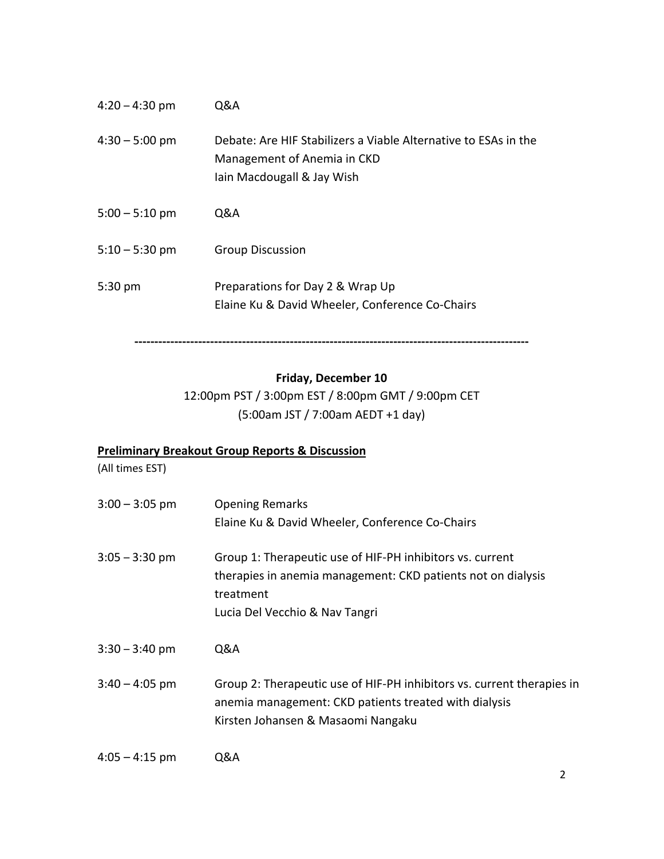| $4:20 - 4:30$ pm | Q&A                                                                                                                          |
|------------------|------------------------------------------------------------------------------------------------------------------------------|
| $4:30 - 5:00$ pm | Debate: Are HIF Stabilizers a Viable Alternative to ESAs in the<br>Management of Anemia in CKD<br>Iain Macdougall & Jay Wish |
| $5:00 - 5:10$ pm | 0&A                                                                                                                          |
| $5:10 - 5:30$ pm | <b>Group Discussion</b>                                                                                                      |
| $5:30$ pm        | Preparations for Day 2 & Wrap Up<br>Elaine Ku & David Wheeler, Conference Co-Chairs                                          |

**Friday, December 10**

**---------------------------------------------------------------------------------------------------**

12:00pm PST / 3:00pm EST / 8:00pm GMT / 9:00pm CET (5:00am JST / 7:00am AEDT +1 day)

## **Preliminary Breakout Group Reports & Discussion**

(All times EST)

| $3:00 - 3:05$ pm | <b>Opening Remarks</b><br>Elaine Ku & David Wheeler, Conference Co-Chairs                                                                                                |
|------------------|--------------------------------------------------------------------------------------------------------------------------------------------------------------------------|
| $3:05 - 3:30$ pm | Group 1: Therapeutic use of HIF-PH inhibitors vs. current<br>therapies in anemia management: CKD patients not on dialysis<br>treatment<br>Lucia Del Vecchio & Nav Tangri |
| $3:30 - 3:40$ pm | Q&A                                                                                                                                                                      |
| $3:40 - 4:05$ pm | Group 2: Therapeutic use of HIF-PH inhibitors vs. current therapies in<br>anemia management: CKD patients treated with dialysis<br>Kirsten Johansen & Masaomi Nangaku    |
| $4:05 - 4:15$ pm | Q&A                                                                                                                                                                      |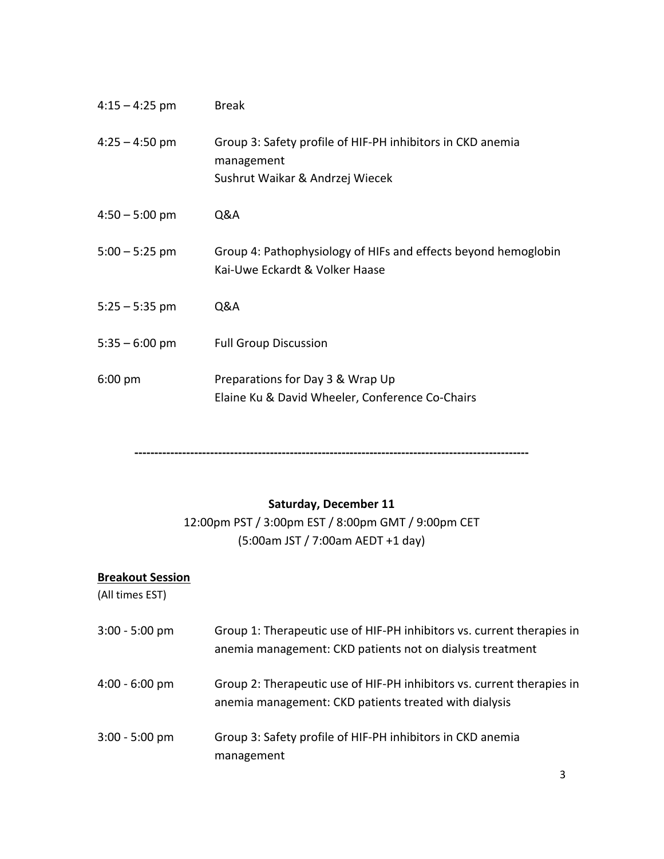| $4:15 - 4:25$ pm | <b>Break</b>                                                                                                |
|------------------|-------------------------------------------------------------------------------------------------------------|
| $4:25 - 4:50$ pm | Group 3: Safety profile of HIF-PH inhibitors in CKD anemia<br>management<br>Sushrut Waikar & Andrzej Wiecek |
| $4:50 - 5:00$ pm | Q&A                                                                                                         |
| $5:00 - 5:25$ pm | Group 4: Pathophysiology of HIFs and effects beyond hemoglobin<br>Kai-Uwe Eckardt & Volker Haase            |
| $5:25 - 5:35$ pm | Q&A                                                                                                         |
| $5:35 - 6:00$ pm | <b>Full Group Discussion</b>                                                                                |
| $6:00$ pm        | Preparations for Day 3 & Wrap Up<br>Elaine Ku & David Wheeler, Conference Co-Chairs                         |

**---------------------------------------------------------------------------------------------------**

## **Saturday, December 11**

12:00pm PST / 3:00pm EST / 8:00pm GMT / 9:00pm CET (5:00am JST / 7:00am AEDT +1 day)

## **Breakout Session**

(All times EST)

| $3:00 - 5:00$ pm | Group 1: Therapeutic use of HIF-PH inhibitors vs. current therapies in<br>anemia management: CKD patients not on dialysis treatment |
|------------------|-------------------------------------------------------------------------------------------------------------------------------------|
| $4:00 - 6:00$ pm | Group 2: Therapeutic use of HIF-PH inhibitors vs. current therapies in<br>anemia management: CKD patients treated with dialysis     |
| $3:00 - 5:00$ pm | Group 3: Safety profile of HIF-PH inhibitors in CKD anemia<br>management                                                            |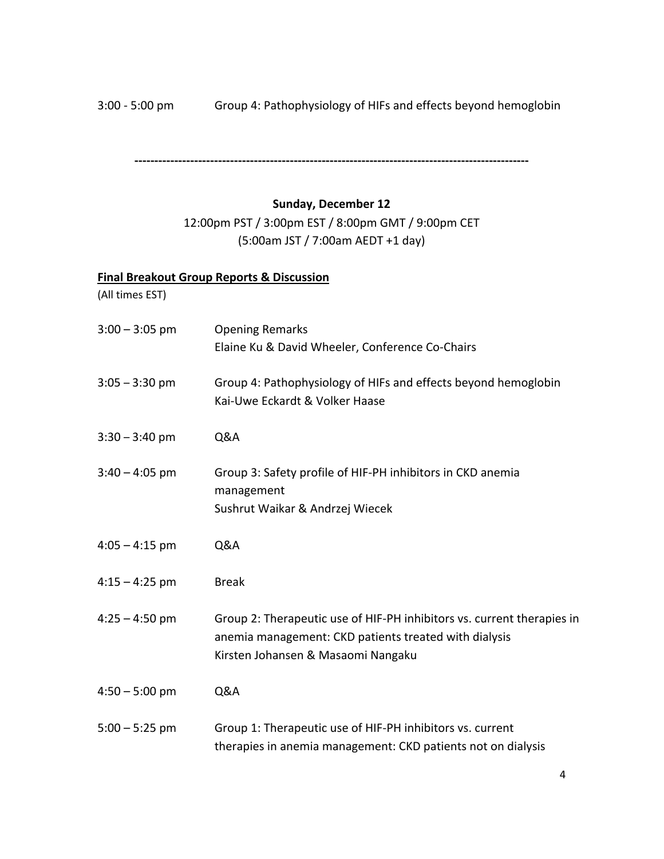3:00 - 5:00 pm Group 4: Pathophysiology of HIFs and effects beyond hemoglobin

**---------------------------------------------------------------------------------------------------**

#### **Sunday, December 12**

12:00pm PST / 3:00pm EST / 8:00pm GMT / 9:00pm CET (5:00am JST / 7:00am AEDT +1 day)

## **Final Breakout Group Reports & Discussion**

(All times EST)

| $3:00 - 3:05$ pm | <b>Opening Remarks</b><br>Elaine Ku & David Wheeler, Conference Co-Chairs                                                                                             |
|------------------|-----------------------------------------------------------------------------------------------------------------------------------------------------------------------|
| $3:05 - 3:30$ pm | Group 4: Pathophysiology of HIFs and effects beyond hemoglobin<br>Kai-Uwe Eckardt & Volker Haase                                                                      |
| $3:30 - 3:40$ pm | Q&A                                                                                                                                                                   |
| $3:40 - 4:05$ pm | Group 3: Safety profile of HIF-PH inhibitors in CKD anemia<br>management<br>Sushrut Waikar & Andrzej Wiecek                                                           |
| $4:05 - 4:15$ pm | Q&A                                                                                                                                                                   |
| $4:15 - 4:25$ pm | <b>Break</b>                                                                                                                                                          |
| $4:25 - 4:50$ pm | Group 2: Therapeutic use of HIF-PH inhibitors vs. current therapies in<br>anemia management: CKD patients treated with dialysis<br>Kirsten Johansen & Masaomi Nangaku |
| $4:50 - 5:00$ pm | Q&A                                                                                                                                                                   |
| $5:00 - 5:25$ pm | Group 1: Therapeutic use of HIF-PH inhibitors vs. current<br>therapies in anemia management: CKD patients not on dialysis                                             |

4